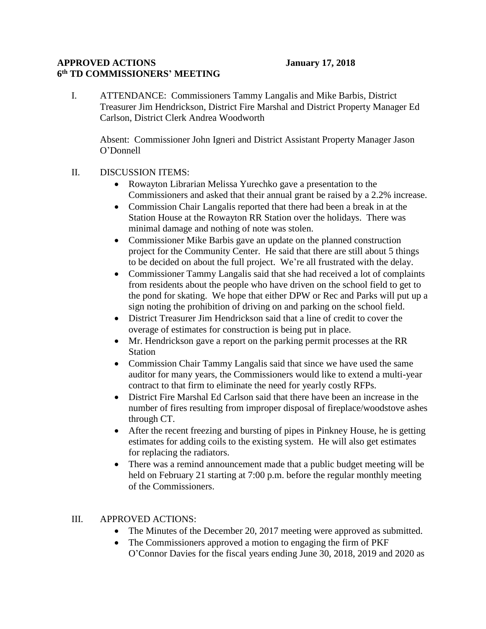## **APPROVED ACTIONS January 17, 2018 6 th TD COMMISSIONERS' MEETING**

I. ATTENDANCE: Commissioners Tammy Langalis and Mike Barbis, District Treasurer Jim Hendrickson, District Fire Marshal and District Property Manager Ed Carlson, District Clerk Andrea Woodworth

Absent: Commissioner John Igneri and District Assistant Property Manager Jason O'Donnell

- II. DISCUSSION ITEMS:
	- Rowayton Librarian Melissa Yurechko gave a presentation to the Commissioners and asked that their annual grant be raised by a 2.2% increase.
	- Commission Chair Langalis reported that there had been a break in at the Station House at the Rowayton RR Station over the holidays. There was minimal damage and nothing of note was stolen.
	- Commissioner Mike Barbis gave an update on the planned construction project for the Community Center. He said that there are still about 5 things to be decided on about the full project. We're all frustrated with the delay.
	- Commissioner Tammy Langalis said that she had received a lot of complaints from residents about the people who have driven on the school field to get to the pond for skating. We hope that either DPW or Rec and Parks will put up a sign noting the prohibition of driving on and parking on the school field.
	- District Treasurer Jim Hendrickson said that a line of credit to cover the overage of estimates for construction is being put in place.
	- Mr. Hendrickson gave a report on the parking permit processes at the RR Station
	- Commission Chair Tammy Langalis said that since we have used the same auditor for many years, the Commissioners would like to extend a multi-year contract to that firm to eliminate the need for yearly costly RFPs.
	- District Fire Marshal Ed Carlson said that there have been an increase in the number of fires resulting from improper disposal of fireplace/woodstove ashes through CT.
	- After the recent freezing and bursting of pipes in Pinkney House, he is getting estimates for adding coils to the existing system. He will also get estimates for replacing the radiators.
	- There was a remind announcement made that a public budget meeting will be held on February 21 starting at 7:00 p.m. before the regular monthly meeting of the Commissioners.

## III. APPROVED ACTIONS:

- The Minutes of the December 20, 2017 meeting were approved as submitted.
- The Commissioners approved a motion to engaging the firm of PKF O'Connor Davies for the fiscal years ending June 30, 2018, 2019 and 2020 as